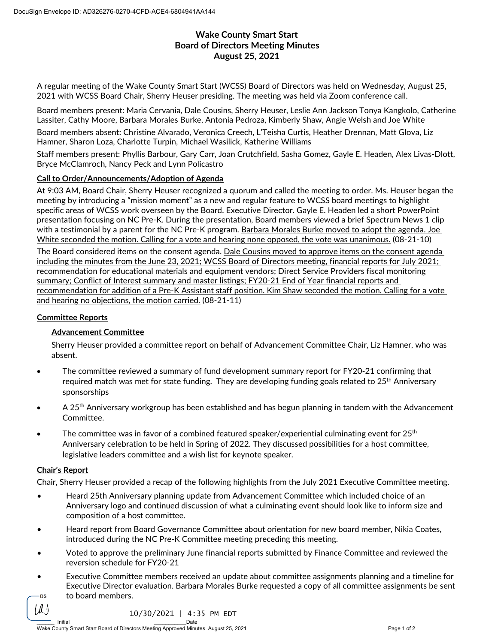# **Wake County Smart Start Board of Directors Meeting Minutes August 25, 2021**

A regular meeting of the Wake County Smart Start (WCSS) Board of Directors was held on Wednesday, August 25, 2021 with WCSS Board Chair, Sherry Heuser presiding. The meeting was held via Zoom conference call.

Board members present: Maria Cervania, Dale Cousins, Sherry Heuser, Leslie Ann Jackson Tonya Kangkolo, Catherine Lassiter, Cathy Moore, Barbara Morales Burke, Antonia Pedroza, Kimberly Shaw, Angie Welsh and Joe White

Board members absent: Christine Alvarado, Veronica Creech, L'Teisha Curtis, Heather Drennan, Matt Glova, Liz Hamner, Sharon Loza, Charlotte Turpin, Michael Wasilick, Katherine Williams

Staff members present: Phyllis Barbour, Gary Carr, Joan Crutchfield, Sasha Gomez, Gayle E. Headen, Alex Livas-Dlott, Bryce McClamroch, Nancy Peck and Lynn Policastro

### **Call to Order/Announcements/Adoption of Agenda**

At 9:03 AM, Board Chair, Sherry Heuser recognized a quorum and called the meeting to order. Ms. Heuser began the meeting by introducing a "mission moment" as a new and regular feature to WCSS board meetings to highlight specific areas of WCSS work overseen by the Board. Executive Director. Gayle E. Headen led a short PowerPoint presentation focusing on NC Pre-K. During the presentation, Board members viewed a brief Spectrum News 1 clip with a testimonial by a parent for the NC Pre-K program. Barbara Morales Burke moved to adopt the agenda. Joe White seconded the motion. Calling for a vote and hearing none opposed, the vote was unanimous. (08-21-10)

The Board considered items on the consent agenda. Dale Cousins moved to approve items on the consent agenda including the minutes from the June 23, 2021; WCSS Board of Directors meeting, financial reports for July 2021; recommendation for educational materials and equipment vendors; Direct Service Providers fiscal monitoring summary; Conflict of Interest summary and master listings; FY20-21 End of Year financial reports and recommendation for addition of a Pre-K Assistant staff position. Kim Shaw seconded the motion. Calling for a vote and hearing no objections, the motion carried. (08-21-11)

### **Committee Reports**

### **Advancement Committee**

Sherry Heuser provided a committee report on behalf of Advancement Committee Chair, Liz Hamner, who was absent.

- The committee reviewed a summary of fund development summary report for FY20-21 confirming that required match was met for state funding. They are developing funding goals related to 25<sup>th</sup> Anniversary sponsorships
- A 25<sup>th</sup> Anniversary workgroup has been established and has begun planning in tandem with the Advancement Committee.
- The committee was in favor of a combined featured speaker/experiential culminating event for  $25<sup>th</sup>$ Anniversary celebration to be held in Spring of 2022. They discussed possibilities for a host committee, legislative leaders committee and a wish list for keynote speaker.

## **Chair's Report**

[A.)

Chair, Sherry Heuser provided a recap of the following highlights from the July 2021 Executive Committee meeting.

- Heard 25th Anniversary planning update from Advancement Committee which included choice of an Anniversary logo and continued discussion of what a culminating event should look like to inform size and composition of a host committee.
- Heard report from Board Governance Committee about orientation for new board member, Nikia Coates, introduced during the NC Pre-K Committee meeting preceding this meeting.
- Voted to approve the preliminary June financial reports submitted by Finance Committee and reviewed the reversion schedule for FY20-21
- Executive Committee members received an update about committee assignments planning and a timeline for Executive Director evaluation. Barbara Morales Burke requested a copy of all committee assignments be sent to board members. **DS**